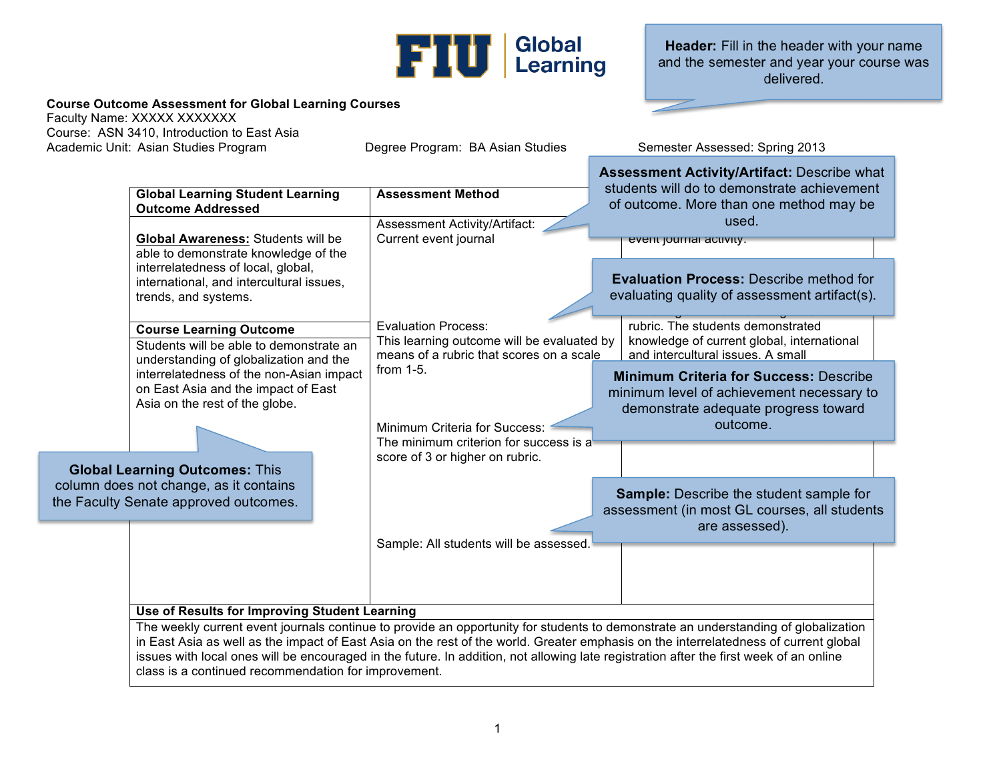

Header: Fill in the header with your name and the semester and year your course was delivered.

## **Course Outcome Assessment for Global Learning Courses**

Faculty Name: XXXXX XXXXXXX Course: ASN 3410, Introduction to East Asia Academic Unit: Asian Studies Program **Degree Program: BA Asian Studies** Semester Assessed: Spring 2013

**Assessment Activity/Artifact:** Describe what

|  |                                                                                                                                                                                                |                                            | <b>ASSESSMENt ACTIVITY/Artifact: Describe Wilde</b> |  |  |
|--|------------------------------------------------------------------------------------------------------------------------------------------------------------------------------------------------|--------------------------------------------|-----------------------------------------------------|--|--|
|  | <b>Global Learning Student Learning</b>                                                                                                                                                        | <b>Assessment Method</b>                   | students will do to demonstrate achievement         |  |  |
|  | <b>Outcome Addressed</b>                                                                                                                                                                       |                                            | of outcome. More than one method may be             |  |  |
|  |                                                                                                                                                                                                | Assessment Activity/Artifact:              | used.                                               |  |  |
|  | Global Awareness: Students will be                                                                                                                                                             | Current event journal                      | event journal activity.                             |  |  |
|  | able to demonstrate knowledge of the                                                                                                                                                           |                                            |                                                     |  |  |
|  | interrelatedness of local, global,                                                                                                                                                             |                                            |                                                     |  |  |
|  | international, and intercultural issues,                                                                                                                                                       |                                            | <b>Evaluation Process: Describe method for</b>      |  |  |
|  | trends, and systems.                                                                                                                                                                           |                                            | evaluating quality of assessment artifact(s).       |  |  |
|  |                                                                                                                                                                                                |                                            |                                                     |  |  |
|  |                                                                                                                                                                                                | <b>Evaluation Process:</b>                 | rubric. The students demonstrated                   |  |  |
|  | <b>Course Learning Outcome</b>                                                                                                                                                                 | This learning outcome will be evaluated by | knowledge of current global, international          |  |  |
|  | Students will be able to demonstrate an                                                                                                                                                        | means of a rubric that scores on a scale   | and intercultural issues. A small                   |  |  |
|  | understanding of globalization and the                                                                                                                                                         | from 1-5.                                  |                                                     |  |  |
|  | interrelatedness of the non-Asian impact                                                                                                                                                       |                                            | <b>Minimum Criteria for Success: Describe</b>       |  |  |
|  | on East Asia and the impact of East                                                                                                                                                            |                                            | minimum level of achievement necessary to           |  |  |
|  | Asia on the rest of the globe.                                                                                                                                                                 |                                            | demonstrate adequate progress toward                |  |  |
|  |                                                                                                                                                                                                | Minimum Criteria for Success:              | outcome.                                            |  |  |
|  |                                                                                                                                                                                                | The minimum criterion for success is a     |                                                     |  |  |
|  |                                                                                                                                                                                                | score of 3 or higher on rubric.            |                                                     |  |  |
|  | <b>Global Learning Outcomes: This</b>                                                                                                                                                          |                                            |                                                     |  |  |
|  | column does not change, as it contains                                                                                                                                                         |                                            |                                                     |  |  |
|  | the Faculty Senate approved outcomes.                                                                                                                                                          |                                            | <b>Sample:</b> Describe the student sample for      |  |  |
|  |                                                                                                                                                                                                |                                            | assessment (in most GL courses, all students        |  |  |
|  |                                                                                                                                                                                                |                                            | are assessed).                                      |  |  |
|  |                                                                                                                                                                                                | Sample: All students will be assessed.     |                                                     |  |  |
|  |                                                                                                                                                                                                |                                            |                                                     |  |  |
|  |                                                                                                                                                                                                |                                            |                                                     |  |  |
|  |                                                                                                                                                                                                |                                            |                                                     |  |  |
|  |                                                                                                                                                                                                |                                            |                                                     |  |  |
|  | Use of Results for Improving Student Learning                                                                                                                                                  |                                            |                                                     |  |  |
|  | The weekly current event journals continue to provide an opportunity for students to demonstrate an understanding of globalization                                                             |                                            |                                                     |  |  |
|  | in East Asia as well as the impact of East Asia on the rest of the world. Greater emphasis on the interrelatedness of current global                                                           |                                            |                                                     |  |  |
|  | issues with local ones will be encouraged in the future. In addition, not allowing late registration after the first week of an online<br>class is a continued recommendation for improvement. |                                            |                                                     |  |  |
|  |                                                                                                                                                                                                |                                            |                                                     |  |  |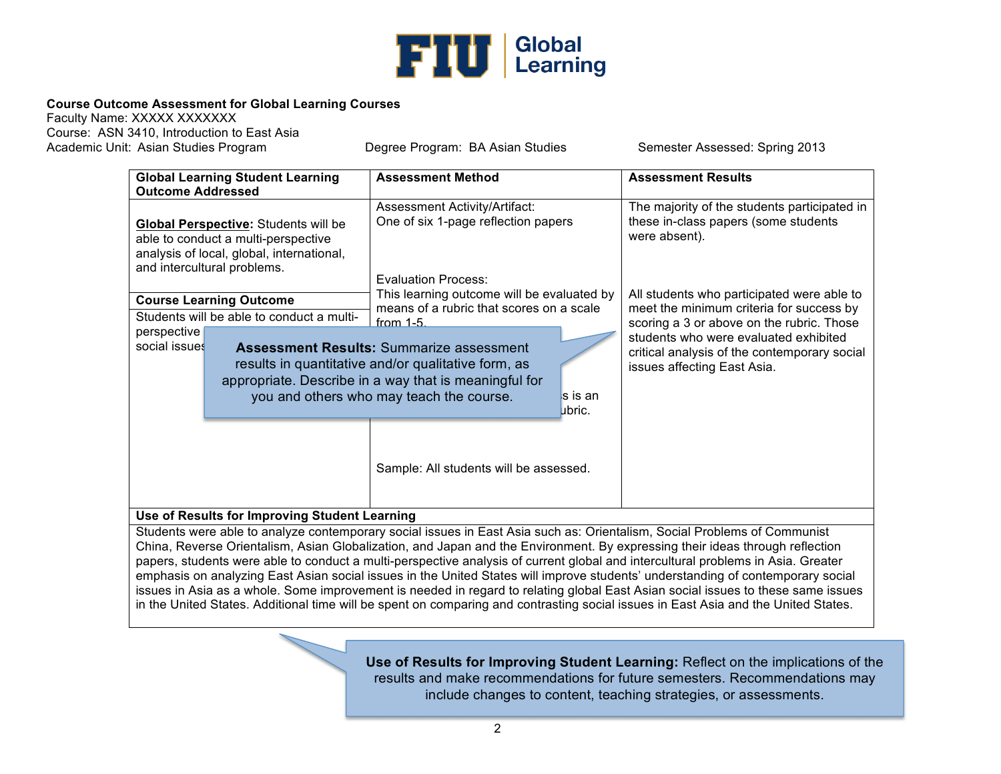

## **Course Outcome Assessment for Global Learning Courses**

Faculty Name: XXXXX XXXXXXX Course: ASN 3410, Introduction to East Asia Academic Unit: Asian Studies Program **Degree Program: BA Asian Studies** Semester Assessed: Spring 2013

| <b>Global Learning Student Learning</b><br><b>Outcome Addressed</b>                                                                                                                                                                                                                                                                                                                                                                                                                                                                                                                                                                                                           |  | <b>Assessment Method</b>                                                                                                                                                                                                                                                                                                                                                                            | <b>Assessment Results</b>                                                                             |  |  |  |
|-------------------------------------------------------------------------------------------------------------------------------------------------------------------------------------------------------------------------------------------------------------------------------------------------------------------------------------------------------------------------------------------------------------------------------------------------------------------------------------------------------------------------------------------------------------------------------------------------------------------------------------------------------------------------------|--|-----------------------------------------------------------------------------------------------------------------------------------------------------------------------------------------------------------------------------------------------------------------------------------------------------------------------------------------------------------------------------------------------------|-------------------------------------------------------------------------------------------------------|--|--|--|
| Global Perspective: Students will be<br>able to conduct a multi-perspective<br>analysis of local, global, international,<br>and intercultural problems.                                                                                                                                                                                                                                                                                                                                                                                                                                                                                                                       |  | Assessment Activity/Artifact:<br>One of six 1-page reflection papers<br><b>Evaluation Process:</b>                                                                                                                                                                                                                                                                                                  | The majority of the students participated in<br>these in-class papers (some students<br>were absent). |  |  |  |
| <b>Course Learning Outcome</b>                                                                                                                                                                                                                                                                                                                                                                                                                                                                                                                                                                                                                                                |  | This learning outcome will be evaluated by<br>means of a rubric that scores on a scale                                                                                                                                                                                                                                                                                                              | All students who participated were able to<br>meet the minimum criteria for success by                |  |  |  |
| Students will be able to conduct a multi-                                                                                                                                                                                                                                                                                                                                                                                                                                                                                                                                                                                                                                     |  | from $1-5$                                                                                                                                                                                                                                                                                                                                                                                          | scoring a 3 or above on the rubric. Those                                                             |  |  |  |
| perspective<br>social issues                                                                                                                                                                                                                                                                                                                                                                                                                                                                                                                                                                                                                                                  |  | students who were evaluated exhibited<br><b>Assessment Results: Summarize assessment</b><br>critical analysis of the contemporary social<br>results in quantitative and/or qualitative form, as<br>issues affecting East Asia.<br>appropriate. Describe in a way that is meaningful for<br>you and others who may teach the course.<br>ls is an<br>ubric.<br>Sample: All students will be assessed. |                                                                                                       |  |  |  |
| Use of Results for Improving Student Learning<br>Students were able to analyze contemporary social issues in East Asia such as: Orientalism, Social Problems of Communist                                                                                                                                                                                                                                                                                                                                                                                                                                                                                                     |  |                                                                                                                                                                                                                                                                                                                                                                                                     |                                                                                                       |  |  |  |
| China, Reverse Orientalism, Asian Globalization, and Japan and the Environment. By expressing their ideas through reflection<br>papers, students were able to conduct a multi-perspective analysis of current global and intercultural problems in Asia. Greater<br>emphasis on analyzing East Asian social issues in the United States will improve students' understanding of contemporary social<br>issues in Asia as a whole. Some improvement is needed in regard to relating global East Asian social issues to these same issues<br>in the United States. Additional time will be spent on comparing and contrasting social issues in East Asia and the United States. |  |                                                                                                                                                                                                                                                                                                                                                                                                     |                                                                                                       |  |  |  |

**Use of Results for Improving Student Learning:** Reflect on the implications of the results and make recommendations for future semesters. Recommendations may include changes to content, teaching strategies, or assessments.